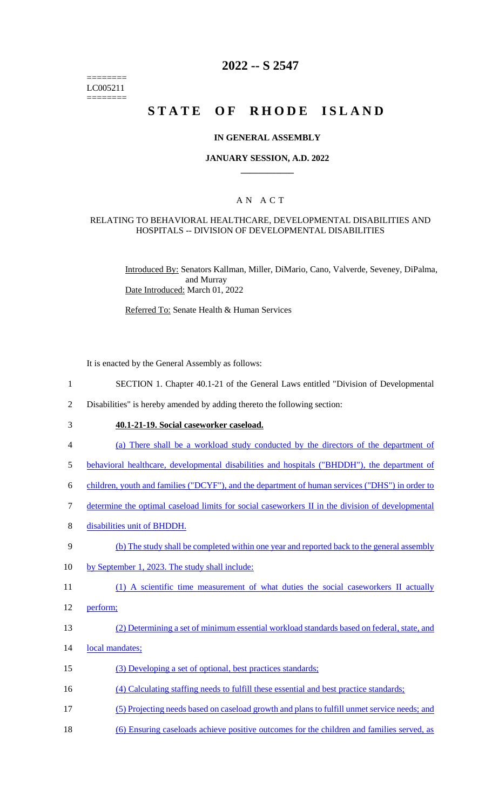======== LC005211 ========

# **2022 -- S 2547**

# **STATE OF RHODE ISLAND**

### **IN GENERAL ASSEMBLY**

### **JANUARY SESSION, A.D. 2022 \_\_\_\_\_\_\_\_\_\_\_\_**

## A N A C T

#### RELATING TO BEHAVIORAL HEALTHCARE, DEVELOPMENTAL DISABILITIES AND HOSPITALS -- DIVISION OF DEVELOPMENTAL DISABILITIES

Introduced By: Senators Kallman, Miller, DiMario, Cano, Valverde, Seveney, DiPalma, and Murray Date Introduced: March 01, 2022

Referred To: Senate Health & Human Services

It is enacted by the General Assembly as follows:

- 1 SECTION 1. Chapter 40.1-21 of the General Laws entitled "Division of Developmental
- 2 Disabilities" is hereby amended by adding thereto the following section:
- 3 **40.1-21-19. Social caseworker caseload.**
- 4 (a) There shall be a workload study conducted by the directors of the department of
- 5 behavioral healthcare, developmental disabilities and hospitals ("BHDDH"), the department of
- 6 children, youth and families ("DCYF"), and the department of human services ("DHS") in order to
- 7 determine the optimal caseload limits for social caseworkers II in the division of developmental
- 8 disabilities unit of BHDDH.
- 9 (b) The study shall be completed within one year and reported back to the general assembly
- 10 by September 1, 2023. The study shall include:
- 11 (1) A scientific time measurement of what duties the social caseworkers II actually
- 12 perform;
- 13 (2) Determining a set of minimum essential workload standards based on federal, state, and
- 14 local mandates;
- 15 (3) Developing a set of optional, best practices standards;
- 16 (4) Calculating staffing needs to fulfill these essential and best practice standards;
- 17 (5) Projecting needs based on caseload growth and plans to fulfill unmet service needs; and
- 18 (6) Ensuring caseloads achieve positive outcomes for the children and families served, as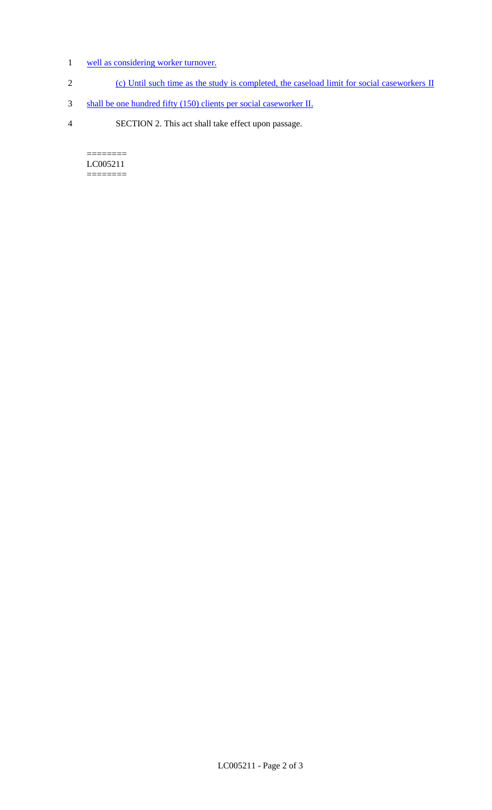- 1 well as considering worker turnover.
- 2 (c) Until such time as the study is completed, the caseload limit for social caseworkers II
- 3 shall be one hundred fifty (150) clients per social caseworker II.
- 4 SECTION 2. This act shall take effect upon passage.

======== LC005211 ========